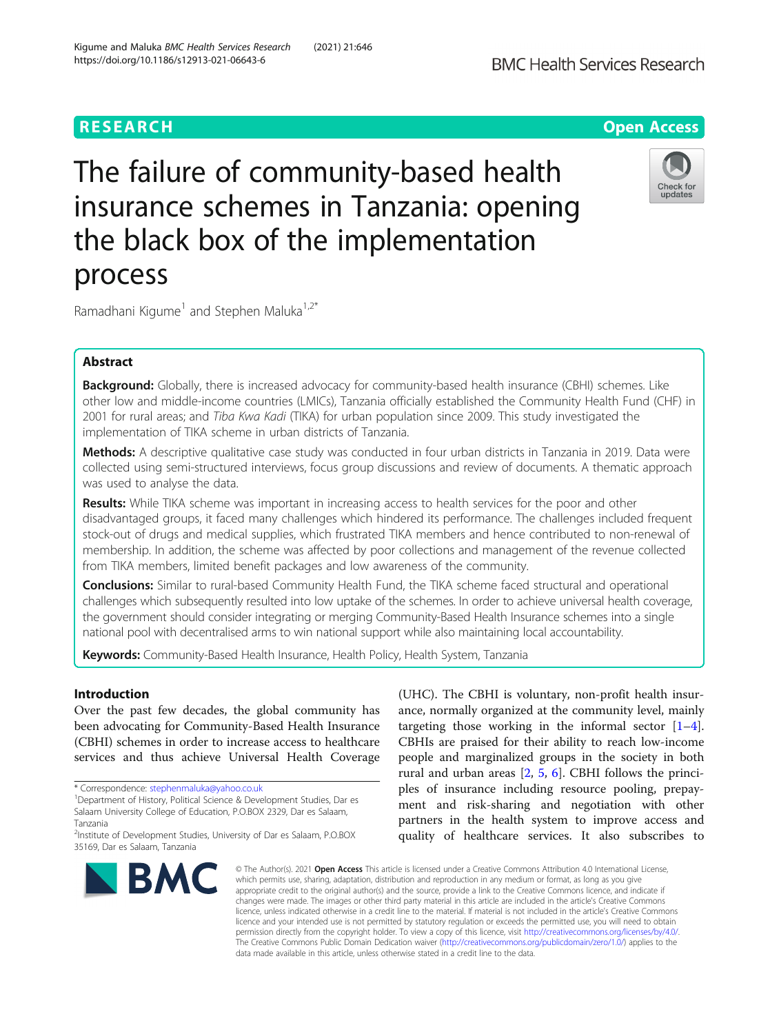# The failure of community-based health insurance schemes in Tanzania: opening the black box of the implementation process

Ramadhani Kigume<sup>1</sup> and Stephen Maluka<sup>1,2\*</sup>

# Abstract

Background: Globally, there is increased advocacy for community-based health insurance (CBHI) schemes. Like other low and middle-income countries (LMICs), Tanzania officially established the Community Health Fund (CHF) in 2001 for rural areas; and Tiba Kwa Kadi (TIKA) for urban population since 2009. This study investigated the implementation of TIKA scheme in urban districts of Tanzania.

Methods: A descriptive qualitative case study was conducted in four urban districts in Tanzania in 2019. Data were collected using semi-structured interviews, focus group discussions and review of documents. A thematic approach was used to analyse the data.

Results: While TIKA scheme was important in increasing access to health services for the poor and other disadvantaged groups, it faced many challenges which hindered its performance. The challenges included frequent stock-out of drugs and medical supplies, which frustrated TIKA members and hence contributed to non-renewal of membership. In addition, the scheme was affected by poor collections and management of the revenue collected from TIKA members, limited benefit packages and low awareness of the community.

**Conclusions:** Similar to rural-based Community Health Fund, the TIKA scheme faced structural and operational challenges which subsequently resulted into low uptake of the schemes. In order to achieve universal health coverage, the government should consider integrating or merging Community-Based Health Insurance schemes into a single national pool with decentralised arms to win national support while also maintaining local accountability.

Keywords: Community-Based Health Insurance, Health Policy, Health System, Tanzania

# Introduction

Over the past few decades, the global community has been advocating for Community-Based Health Insurance (CBHI) schemes in order to increase access to healthcare services and thus achieve Universal Health Coverage

\* Correspondence: [stephenmaluka@yahoo.co.uk](mailto:stephenmaluka@yahoo.co.uk) <sup>1</sup>

**BMC** 

(UHC). The CBHI is voluntary, non-profit health insurance, normally organized at the community level, mainly targeting those working in the informal sector  $[1-4]$  $[1-4]$  $[1-4]$  $[1-4]$ . CBHIs are praised for their ability to reach low-income people and marginalized groups in the society in both rural and urban areas [[2,](#page-7-0) [5](#page-7-0), [6\]](#page-7-0). CBHI follows the principles of insurance including resource pooling, prepayment and risk-sharing and negotiation with other partners in the health system to improve access and quality of healthcare services. It also subscribes to

© The Author(s), 2021 **Open Access** This article is licensed under a Creative Commons Attribution 4.0 International License, which permits use, sharing, adaptation, distribution and reproduction in any medium or format, as long as you give appropriate credit to the original author(s) and the source, provide a link to the Creative Commons licence, and indicate if changes were made. The images or other third party material in this article are included in the article's Creative Commons licence, unless indicated otherwise in a credit line to the material. If material is not included in the article's Creative Commons licence and your intended use is not permitted by statutory regulation or exceeds the permitted use, you will need to obtain permission directly from the copyright holder. To view a copy of this licence, visit [http://creativecommons.org/licenses/by/4.0/.](http://creativecommons.org/licenses/by/4.0/) The Creative Commons Public Domain Dedication waiver [\(http://creativecommons.org/publicdomain/zero/1.0/](http://creativecommons.org/publicdomain/zero/1.0/)) applies to the data made available in this article, unless otherwise stated in a credit line to the data.





<sup>&</sup>lt;sup>1</sup>Department of History, Political Science & Development Studies, Dar es Salaam University College of Education, P.O.BOX 2329, Dar es Salaam, Tanzania

<sup>&</sup>lt;sup>2</sup>Institute of Development Studies, University of Dar es Salaam, P.O.BOX 35169, Dar es Salaam, Tanzania

Kigume and Maluka BMC Health Services Research (2021) 21:646 https://doi.org/10.1186/s12913-021-06643-6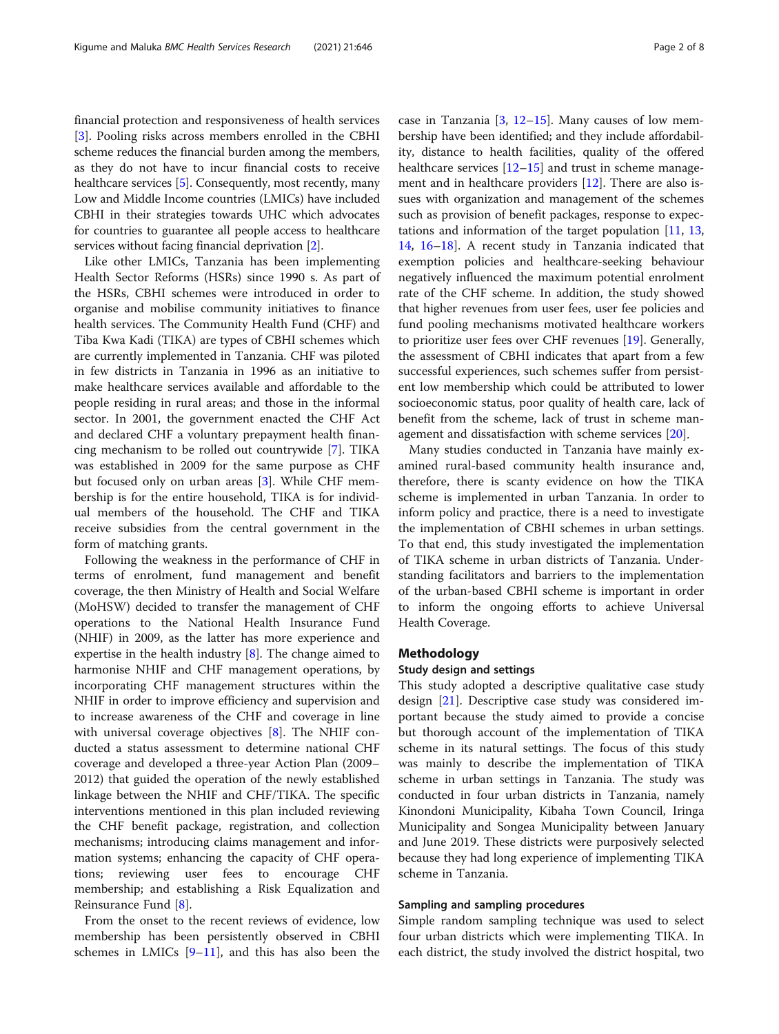financial protection and responsiveness of health services [[3\]](#page-7-0). Pooling risks across members enrolled in the CBHI scheme reduces the financial burden among the members, as they do not have to incur financial costs to receive healthcare services [\[5\]](#page-7-0). Consequently, most recently, many Low and Middle Income countries (LMICs) have included CBHI in their strategies towards UHC which advocates for countries to guarantee all people access to healthcare services without facing financial deprivation [\[2](#page-7-0)].

Like other LMICs, Tanzania has been implementing Health Sector Reforms (HSRs) since 1990 s. As part of the HSRs, CBHI schemes were introduced in order to organise and mobilise community initiatives to finance health services. The Community Health Fund (CHF) and Tiba Kwa Kadi (TIKA) are types of CBHI schemes which are currently implemented in Tanzania. CHF was piloted in few districts in Tanzania in 1996 as an initiative to make healthcare services available and affordable to the people residing in rural areas; and those in the informal sector. In 2001, the government enacted the CHF Act and declared CHF a voluntary prepayment health financing mechanism to be rolled out countrywide [\[7](#page-7-0)]. TIKA was established in 2009 for the same purpose as CHF but focused only on urban areas [\[3](#page-7-0)]. While CHF membership is for the entire household, TIKA is for individual members of the household. The CHF and TIKA receive subsidies from the central government in the form of matching grants.

Following the weakness in the performance of CHF in terms of enrolment, fund management and benefit coverage, the then Ministry of Health and Social Welfare (MoHSW) decided to transfer the management of CHF operations to the National Health Insurance Fund (NHIF) in 2009, as the latter has more experience and expertise in the health industry [[8](#page-7-0)]. The change aimed to harmonise NHIF and CHF management operations, by incorporating CHF management structures within the NHIF in order to improve efficiency and supervision and to increase awareness of the CHF and coverage in line with universal coverage objectives [\[8](#page-7-0)]. The NHIF conducted a status assessment to determine national CHF coverage and developed a three-year Action Plan (2009– 2012) that guided the operation of the newly established linkage between the NHIF and CHF/TIKA. The specific interventions mentioned in this plan included reviewing the CHF benefit package, registration, and collection mechanisms; introducing claims management and information systems; enhancing the capacity of CHF operations; reviewing user fees to encourage CHF membership; and establishing a Risk Equalization and Reinsurance Fund [[8\]](#page-7-0).

From the onset to the recent reviews of evidence, low membership has been persistently observed in CBHI schemes in LMICs  $[9-11]$  $[9-11]$  $[9-11]$  $[9-11]$  $[9-11]$ , and this has also been the

case in Tanzania  $[3, 12-15]$  $[3, 12-15]$  $[3, 12-15]$  $[3, 12-15]$  $[3, 12-15]$  $[3, 12-15]$  $[3, 12-15]$ . Many causes of low membership have been identified; and they include affordability, distance to health facilities, quality of the offered healthcare services  $[12-15]$  $[12-15]$  $[12-15]$  and trust in scheme management and in healthcare providers [\[12\]](#page-7-0). There are also issues with organization and management of the schemes such as provision of benefit packages, response to expectations and information of the target population [\[11](#page-7-0), [13](#page-7-0), [14,](#page-7-0) [16](#page-7-0)–[18](#page-7-0)]. A recent study in Tanzania indicated that exemption policies and healthcare-seeking behaviour negatively influenced the maximum potential enrolment rate of the CHF scheme. In addition, the study showed that higher revenues from user fees, user fee policies and fund pooling mechanisms motivated healthcare workers to prioritize user fees over CHF revenues [\[19](#page-7-0)]. Generally, the assessment of CBHI indicates that apart from a few successful experiences, such schemes suffer from persistent low membership which could be attributed to lower socioeconomic status, poor quality of health care, lack of benefit from the scheme, lack of trust in scheme management and dissatisfaction with scheme services [\[20](#page-7-0)].

Many studies conducted in Tanzania have mainly examined rural-based community health insurance and, therefore, there is scanty evidence on how the TIKA scheme is implemented in urban Tanzania. In order to inform policy and practice, there is a need to investigate the implementation of CBHI schemes in urban settings. To that end, this study investigated the implementation of TIKA scheme in urban districts of Tanzania. Understanding facilitators and barriers to the implementation of the urban-based CBHI scheme is important in order to inform the ongoing efforts to achieve Universal Health Coverage.

# Methodology

# Study design and settings

This study adopted a descriptive qualitative case study design [\[21](#page-7-0)]. Descriptive case study was considered important because the study aimed to provide a concise but thorough account of the implementation of TIKA scheme in its natural settings. The focus of this study was mainly to describe the implementation of TIKA scheme in urban settings in Tanzania. The study was conducted in four urban districts in Tanzania, namely Kinondoni Municipality, Kibaha Town Council, Iringa Municipality and Songea Municipality between January and June 2019. These districts were purposively selected because they had long experience of implementing TIKA scheme in Tanzania.

# Sampling and sampling procedures

Simple random sampling technique was used to select four urban districts which were implementing TIKA. In each district, the study involved the district hospital, two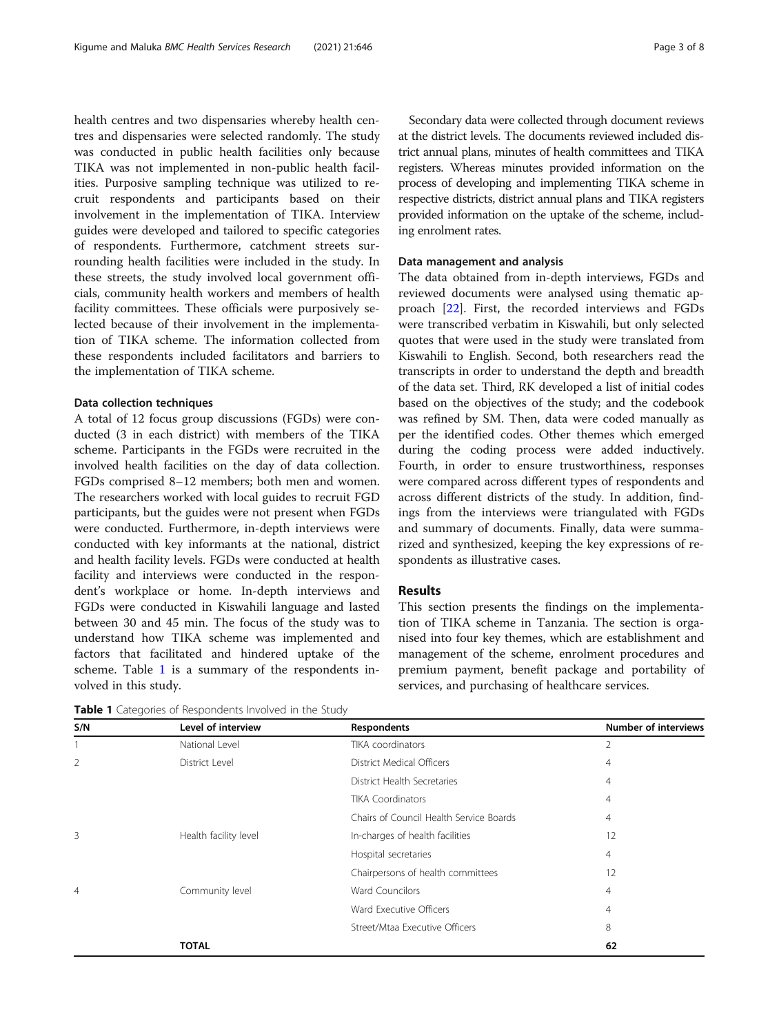health centres and two dispensaries whereby health centres and dispensaries were selected randomly. The study was conducted in public health facilities only because TIKA was not implemented in non-public health facilities. Purposive sampling technique was utilized to recruit respondents and participants based on their involvement in the implementation of TIKA. Interview guides were developed and tailored to specific categories of respondents. Furthermore, catchment streets surrounding health facilities were included in the study. In these streets, the study involved local government officials, community health workers and members of health facility committees. These officials were purposively selected because of their involvement in the implementation of TIKA scheme. The information collected from these respondents included facilitators and barriers to the implementation of TIKA scheme.

## Data collection techniques

A total of 12 focus group discussions (FGDs) were conducted (3 in each district) with members of the TIKA scheme. Participants in the FGDs were recruited in the involved health facilities on the day of data collection. FGDs comprised 8–12 members; both men and women. The researchers worked with local guides to recruit FGD participants, but the guides were not present when FGDs were conducted. Furthermore, in-depth interviews were conducted with key informants at the national, district and health facility levels. FGDs were conducted at health facility and interviews were conducted in the respondent's workplace or home. In-depth interviews and FGDs were conducted in Kiswahili language and lasted between 30 and 45 min. The focus of the study was to understand how TIKA scheme was implemented and factors that facilitated and hindered uptake of the scheme. Table 1 is a summary of the respondents involved in this study.

Table 1 Categories of Respondents Involved in the Study

Secondary data were collected through document reviews at the district levels. The documents reviewed included district annual plans, minutes of health committees and TIKA registers. Whereas minutes provided information on the process of developing and implementing TIKA scheme in

respective districts, district annual plans and TIKA registers provided information on the uptake of the scheme, includ-

Data management and analysis

ing enrolment rates.

The data obtained from in-depth interviews, FGDs and reviewed documents were analysed using thematic approach [[22](#page-7-0)]. First, the recorded interviews and FGDs were transcribed verbatim in Kiswahili, but only selected quotes that were used in the study were translated from Kiswahili to English. Second, both researchers read the transcripts in order to understand the depth and breadth of the data set. Third, RK developed a list of initial codes based on the objectives of the study; and the codebook was refined by SM. Then, data were coded manually as per the identified codes. Other themes which emerged during the coding process were added inductively. Fourth, in order to ensure trustworthiness, responses were compared across different types of respondents and across different districts of the study. In addition, findings from the interviews were triangulated with FGDs and summary of documents. Finally, data were summarized and synthesized, keeping the key expressions of respondents as illustrative cases.

# Results

This section presents the findings on the implementation of TIKA scheme in Tanzania. The section is organised into four key themes, which are establishment and management of the scheme, enrolment procedures and premium payment, benefit package and portability of services, and purchasing of healthcare services.

| S/N | Level of interview    | <b>Respondents</b>                      | <b>Number of interviews</b> |
|-----|-----------------------|-----------------------------------------|-----------------------------|
|     | National Level        | TIKA coordinators                       | 2                           |
| 2   | District Level        | District Medical Officers               | $\overline{4}$              |
|     |                       | District Health Secretaries             | $\overline{4}$              |
|     |                       | <b>TIKA Coordinators</b>                | $\overline{4}$              |
|     |                       | Chairs of Council Health Service Boards | $\overline{4}$              |
| 3   | Health facility level | In-charges of health facilities         | 12                          |
|     |                       | Hospital secretaries                    | $\overline{4}$              |
|     |                       | Chairpersons of health committees       | 12                          |
| 4   | Community level       | <b>Ward Councilors</b>                  | $\overline{4}$              |
|     |                       | Ward Executive Officers                 | $\overline{4}$              |
|     |                       | Street/Mtaa Executive Officers          | 8                           |
|     | <b>TOTAL</b>          |                                         | 62                          |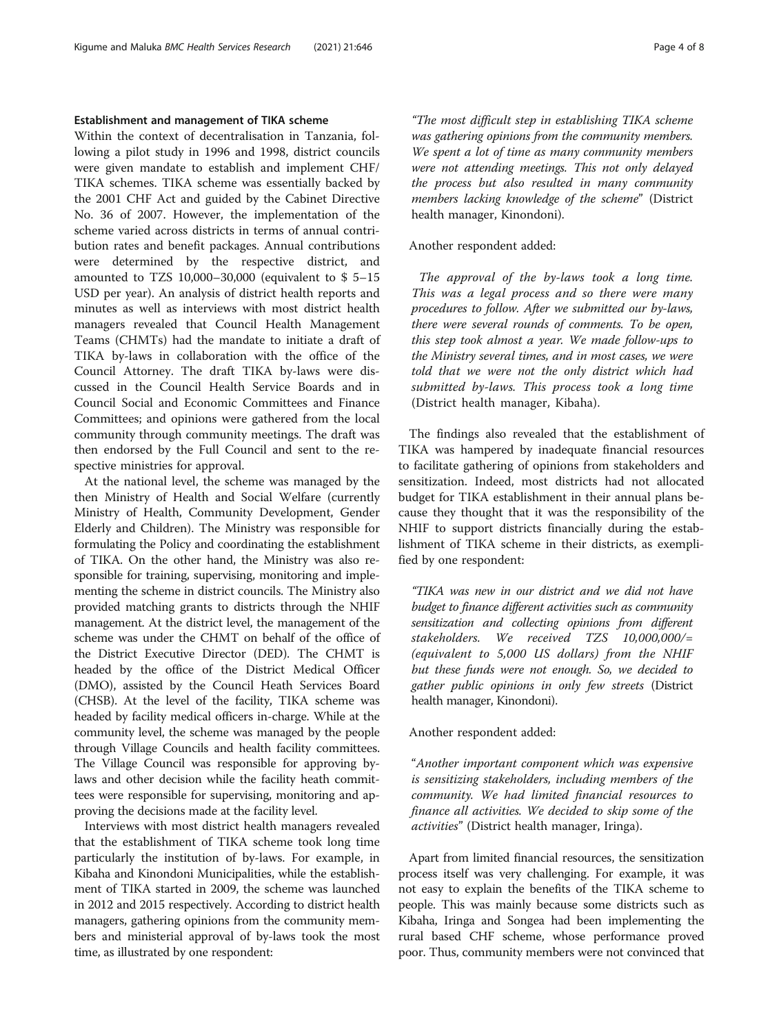# Establishment and management of TIKA scheme

Within the context of decentralisation in Tanzania, following a pilot study in 1996 and 1998, district councils were given mandate to establish and implement CHF/ TIKA schemes. TIKA scheme was essentially backed by the 2001 CHF Act and guided by the Cabinet Directive No. 36 of 2007. However, the implementation of the scheme varied across districts in terms of annual contribution rates and benefit packages. Annual contributions were determined by the respective district, and amounted to TZS 10,000–30,000 (equivalent to \$ 5–15 USD per year). An analysis of district health reports and minutes as well as interviews with most district health managers revealed that Council Health Management Teams (CHMTs) had the mandate to initiate a draft of TIKA by-laws in collaboration with the office of the Council Attorney. The draft TIKA by-laws were discussed in the Council Health Service Boards and in Council Social and Economic Committees and Finance Committees; and opinions were gathered from the local community through community meetings. The draft was then endorsed by the Full Council and sent to the respective ministries for approval.

At the national level, the scheme was managed by the then Ministry of Health and Social Welfare (currently Ministry of Health, Community Development, Gender Elderly and Children). The Ministry was responsible for formulating the Policy and coordinating the establishment of TIKA. On the other hand, the Ministry was also responsible for training, supervising, monitoring and implementing the scheme in district councils. The Ministry also provided matching grants to districts through the NHIF management. At the district level, the management of the scheme was under the CHMT on behalf of the office of the District Executive Director (DED). The CHMT is headed by the office of the District Medical Officer (DMO), assisted by the Council Heath Services Board (CHSB). At the level of the facility, TIKA scheme was headed by facility medical officers in-charge. While at the community level, the scheme was managed by the people through Village Councils and health facility committees. The Village Council was responsible for approving bylaws and other decision while the facility heath committees were responsible for supervising, monitoring and approving the decisions made at the facility level.

Interviews with most district health managers revealed that the establishment of TIKA scheme took long time particularly the institution of by-laws. For example, in Kibaha and Kinondoni Municipalities, while the establishment of TIKA started in 2009, the scheme was launched in 2012 and 2015 respectively. According to district health managers, gathering opinions from the community members and ministerial approval of by-laws took the most time, as illustrated by one respondent:

"The most difficult step in establishing TIKA scheme was gathering opinions from the community members. We spent a lot of time as many community members were not attending meetings. This not only delayed the process but also resulted in many community members lacking knowledge of the scheme" (District health manager, Kinondoni).

## Another respondent added:

The approval of the by-laws took a long time. This was a legal process and so there were many procedures to follow. After we submitted our by-laws, there were several rounds of comments. To be open, this step took almost a year. We made follow-ups to the Ministry several times, and in most cases, we were told that we were not the only district which had submitted by-laws. This process took a long time (District health manager, Kibaha).

The findings also revealed that the establishment of TIKA was hampered by inadequate financial resources to facilitate gathering of opinions from stakeholders and sensitization. Indeed, most districts had not allocated budget for TIKA establishment in their annual plans because they thought that it was the responsibility of the NHIF to support districts financially during the establishment of TIKA scheme in their districts, as exemplified by one respondent:

"TIKA was new in our district and we did not have budget to finance different activities such as community sensitization and collecting opinions from different stakeholders. We received TZS 10,000,000/= (equivalent to 5,000 US dollars) from the NHIF but these funds were not enough. So, we decided to gather public opinions in only few streets (District health manager, Kinondoni).

# Another respondent added:

"Another important component which was expensive is sensitizing stakeholders, including members of the community. We had limited financial resources to finance all activities. We decided to skip some of the activities" (District health manager, Iringa).

Apart from limited financial resources, the sensitization process itself was very challenging. For example, it was not easy to explain the benefits of the TIKA scheme to people. This was mainly because some districts such as Kibaha, Iringa and Songea had been implementing the rural based CHF scheme, whose performance proved poor. Thus, community members were not convinced that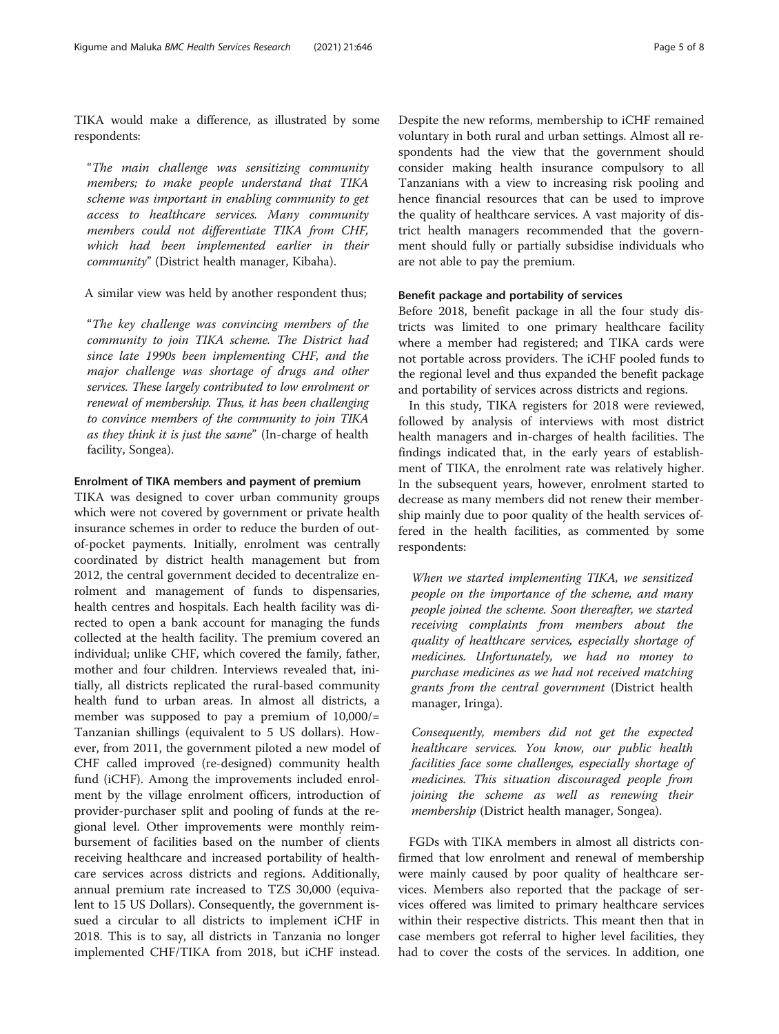TIKA would make a difference, as illustrated by some respondents:

"The main challenge was sensitizing community members; to make people understand that TIKA scheme was important in enabling community to get access to healthcare services. Many community members could not differentiate TIKA from CHF, which had been implemented earlier in their community" (District health manager, Kibaha).

# A similar view was held by another respondent thus;

"The key challenge was convincing members of the community to join TIKA scheme. The District had since late 1990s been implementing CHF, and the major challenge was shortage of drugs and other services. These largely contributed to low enrolment or renewal of membership. Thus, it has been challenging to convince members of the community to join TIKA as they think it is just the same" (In-charge of health facility, Songea).

## Enrolment of TIKA members and payment of premium

TIKA was designed to cover urban community groups which were not covered by government or private health insurance schemes in order to reduce the burden of outof-pocket payments. Initially, enrolment was centrally coordinated by district health management but from 2012, the central government decided to decentralize enrolment and management of funds to dispensaries, health centres and hospitals. Each health facility was directed to open a bank account for managing the funds collected at the health facility. The premium covered an individual; unlike CHF, which covered the family, father, mother and four children. Interviews revealed that, initially, all districts replicated the rural-based community health fund to urban areas. In almost all districts, a member was supposed to pay a premium of 10,000/= Tanzanian shillings (equivalent to 5 US dollars). However, from 2011, the government piloted a new model of CHF called improved (re-designed) community health fund (iCHF). Among the improvements included enrolment by the village enrolment officers, introduction of provider-purchaser split and pooling of funds at the regional level. Other improvements were monthly reimbursement of facilities based on the number of clients receiving healthcare and increased portability of healthcare services across districts and regions. Additionally, annual premium rate increased to TZS 30,000 (equivalent to 15 US Dollars). Consequently, the government issued a circular to all districts to implement iCHF in 2018. This is to say, all districts in Tanzania no longer implemented CHF/TIKA from 2018, but iCHF instead.

Despite the new reforms, membership to iCHF remained voluntary in both rural and urban settings. Almost all respondents had the view that the government should consider making health insurance compulsory to all Tanzanians with a view to increasing risk pooling and hence financial resources that can be used to improve the quality of healthcare services. A vast majority of district health managers recommended that the government should fully or partially subsidise individuals who are not able to pay the premium.

# Benefit package and portability of services

Before 2018, benefit package in all the four study districts was limited to one primary healthcare facility where a member had registered; and TIKA cards were not portable across providers. The iCHF pooled funds to the regional level and thus expanded the benefit package and portability of services across districts and regions.

In this study, TIKA registers for 2018 were reviewed, followed by analysis of interviews with most district health managers and in-charges of health facilities. The findings indicated that, in the early years of establishment of TIKA, the enrolment rate was relatively higher. In the subsequent years, however, enrolment started to decrease as many members did not renew their membership mainly due to poor quality of the health services offered in the health facilities, as commented by some respondents:

When we started implementing TIKA, we sensitized people on the importance of the scheme, and many people joined the scheme. Soon thereafter, we started receiving complaints from members about the quality of healthcare services, especially shortage of medicines. Unfortunately, we had no money to purchase medicines as we had not received matching grants from the central government (District health manager, Iringa).

Consequently, members did not get the expected healthcare services. You know, our public health facilities face some challenges, especially shortage of medicines. This situation discouraged people from joining the scheme as well as renewing their membership (District health manager, Songea).

FGDs with TIKA members in almost all districts confirmed that low enrolment and renewal of membership were mainly caused by poor quality of healthcare services. Members also reported that the package of services offered was limited to primary healthcare services within their respective districts. This meant then that in case members got referral to higher level facilities, they had to cover the costs of the services. In addition, one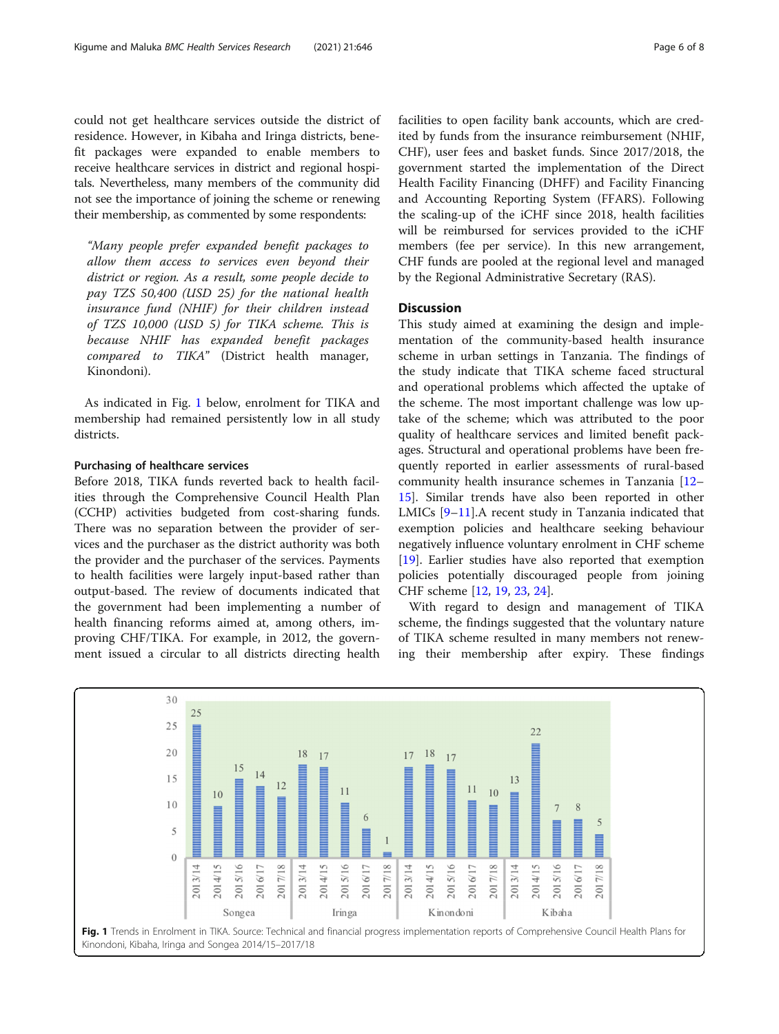could not get healthcare services outside the district of residence. However, in Kibaha and Iringa districts, benefit packages were expanded to enable members to receive healthcare services in district and regional hospitals. Nevertheless, many members of the community did

"Many people prefer expanded benefit packages to allow them access to services even beyond their district or region. As a result, some people decide to pay TZS 50,400 (USD 25) for the national health insurance fund (NHIF) for their children instead of TZS 10,000 (USD 5) for TIKA scheme. This is because NHIF has expanded benefit packages compared to TIKA" (District health manager, Kinondoni).

not see the importance of joining the scheme or renewing their membership, as commented by some respondents:

As indicated in Fig. 1 below, enrolment for TIKA and membership had remained persistently low in all study districts.

## Purchasing of healthcare services

Before 2018, TIKA funds reverted back to health facilities through the Comprehensive Council Health Plan (CCHP) activities budgeted from cost-sharing funds. There was no separation between the provider of services and the purchaser as the district authority was both the provider and the purchaser of the services. Payments to health facilities were largely input-based rather than output-based. The review of documents indicated that the government had been implementing a number of health financing reforms aimed at, among others, improving CHF/TIKA. For example, in 2012, the government issued a circular to all districts directing health

facilities to open facility bank accounts, which are credited by funds from the insurance reimbursement (NHIF, CHF), user fees and basket funds. Since 2017/2018, the government started the implementation of the Direct Health Facility Financing (DHFF) and Facility Financing and Accounting Reporting System (FFARS). Following the scaling-up of the iCHF since 2018, health facilities will be reimbursed for services provided to the iCHF members (fee per service). In this new arrangement, CHF funds are pooled at the regional level and managed by the Regional Administrative Secretary (RAS).

# **Discussion**

This study aimed at examining the design and implementation of the community-based health insurance scheme in urban settings in Tanzania. The findings of the study indicate that TIKA scheme faced structural and operational problems which affected the uptake of the scheme. The most important challenge was low uptake of the scheme; which was attributed to the poor quality of healthcare services and limited benefit packages. Structural and operational problems have been frequently reported in earlier assessments of rural-based community health insurance schemes in Tanzania [[12](#page-7-0)– [15\]](#page-7-0). Similar trends have also been reported in other LMICs [[9](#page-7-0)–[11](#page-7-0)].A recent study in Tanzania indicated that exemption policies and healthcare seeking behaviour negatively influence voluntary enrolment in CHF scheme [[19\]](#page-7-0). Earlier studies have also reported that exemption policies potentially discouraged people from joining CHF scheme [[12](#page-7-0), [19](#page-7-0), [23](#page-7-0), [24](#page-7-0)].

With regard to design and management of TIKA scheme, the findings suggested that the voluntary nature of TIKA scheme resulted in many members not renewing their membership after expiry. These findings

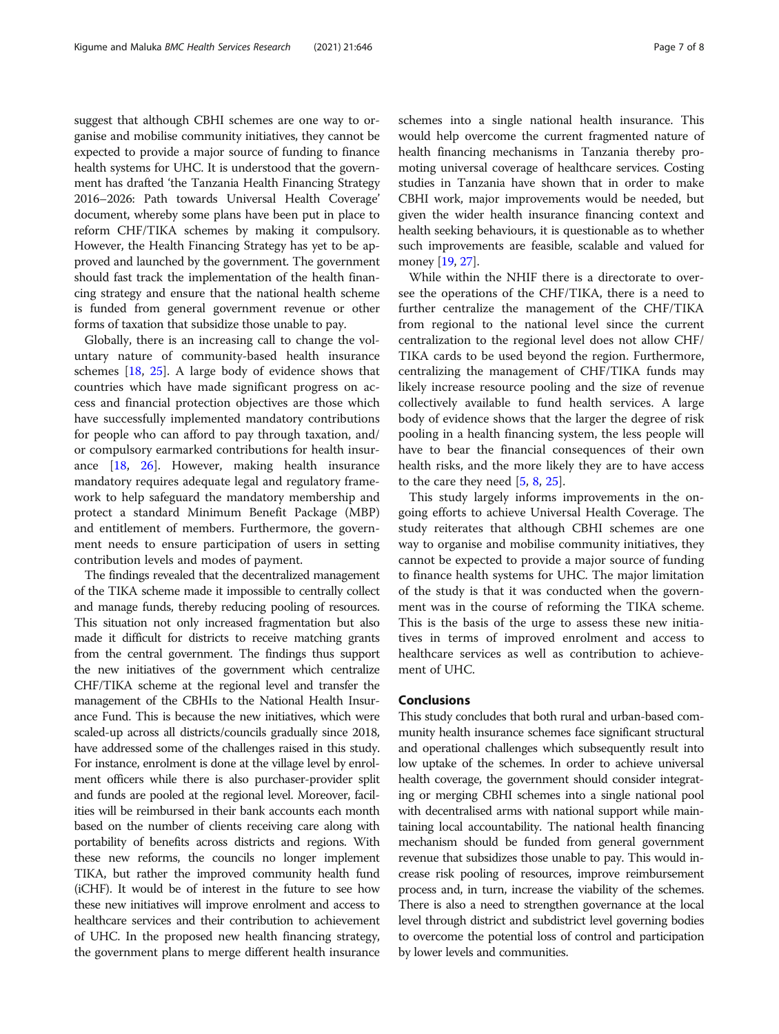suggest that although CBHI schemes are one way to organise and mobilise community initiatives, they cannot be expected to provide a major source of funding to finance health systems for UHC. It is understood that the government has drafted 'the Tanzania Health Financing Strategy 2016–2026: Path towards Universal Health Coverage' document, whereby some plans have been put in place to reform CHF/TIKA schemes by making it compulsory. However, the Health Financing Strategy has yet to be approved and launched by the government. The government should fast track the implementation of the health financing strategy and ensure that the national health scheme is funded from general government revenue or other forms of taxation that subsidize those unable to pay.

Globally, there is an increasing call to change the voluntary nature of community-based health insurance schemes [\[18](#page-7-0), [25](#page-7-0)]. A large body of evidence shows that countries which have made significant progress on access and financial protection objectives are those which have successfully implemented mandatory contributions for people who can afford to pay through taxation, and/ or compulsory earmarked contributions for health insurance [\[18,](#page-7-0) [26](#page-7-0)]. However, making health insurance mandatory requires adequate legal and regulatory framework to help safeguard the mandatory membership and protect a standard Minimum Benefit Package (MBP) and entitlement of members. Furthermore, the government needs to ensure participation of users in setting contribution levels and modes of payment.

The findings revealed that the decentralized management of the TIKA scheme made it impossible to centrally collect and manage funds, thereby reducing pooling of resources. This situation not only increased fragmentation but also made it difficult for districts to receive matching grants from the central government. The findings thus support the new initiatives of the government which centralize CHF/TIKA scheme at the regional level and transfer the management of the CBHIs to the National Health Insurance Fund. This is because the new initiatives, which were scaled-up across all districts/councils gradually since 2018, have addressed some of the challenges raised in this study. For instance, enrolment is done at the village level by enrolment officers while there is also purchaser-provider split and funds are pooled at the regional level. Moreover, facilities will be reimbursed in their bank accounts each month based on the number of clients receiving care along with portability of benefits across districts and regions. With these new reforms, the councils no longer implement TIKA, but rather the improved community health fund (iCHF). It would be of interest in the future to see how these new initiatives will improve enrolment and access to healthcare services and their contribution to achievement of UHC. In the proposed new health financing strategy, the government plans to merge different health insurance schemes into a single national health insurance. This would help overcome the current fragmented nature of health financing mechanisms in Tanzania thereby promoting universal coverage of healthcare services. Costing studies in Tanzania have shown that in order to make CBHI work, major improvements would be needed, but given the wider health insurance financing context and health seeking behaviours, it is questionable as to whether such improvements are feasible, scalable and valued for money [\[19](#page-7-0), [27](#page-7-0)].

While within the NHIF there is a directorate to oversee the operations of the CHF/TIKA, there is a need to further centralize the management of the CHF/TIKA from regional to the national level since the current centralization to the regional level does not allow CHF/ TIKA cards to be used beyond the region. Furthermore, centralizing the management of CHF/TIKA funds may likely increase resource pooling and the size of revenue collectively available to fund health services. A large body of evidence shows that the larger the degree of risk pooling in a health financing system, the less people will have to bear the financial consequences of their own health risks, and the more likely they are to have access to the care they need  $[5, 8, 25]$  $[5, 8, 25]$  $[5, 8, 25]$  $[5, 8, 25]$  $[5, 8, 25]$  $[5, 8, 25]$ .

This study largely informs improvements in the ongoing efforts to achieve Universal Health Coverage. The study reiterates that although CBHI schemes are one way to organise and mobilise community initiatives, they cannot be expected to provide a major source of funding to finance health systems for UHC. The major limitation of the study is that it was conducted when the government was in the course of reforming the TIKA scheme. This is the basis of the urge to assess these new initiatives in terms of improved enrolment and access to healthcare services as well as contribution to achievement of UHC.

# Conclusions

This study concludes that both rural and urban-based community health insurance schemes face significant structural and operational challenges which subsequently result into low uptake of the schemes. In order to achieve universal health coverage, the government should consider integrating or merging CBHI schemes into a single national pool with decentralised arms with national support while maintaining local accountability. The national health financing mechanism should be funded from general government revenue that subsidizes those unable to pay. This would increase risk pooling of resources, improve reimbursement process and, in turn, increase the viability of the schemes. There is also a need to strengthen governance at the local level through district and subdistrict level governing bodies to overcome the potential loss of control and participation by lower levels and communities.